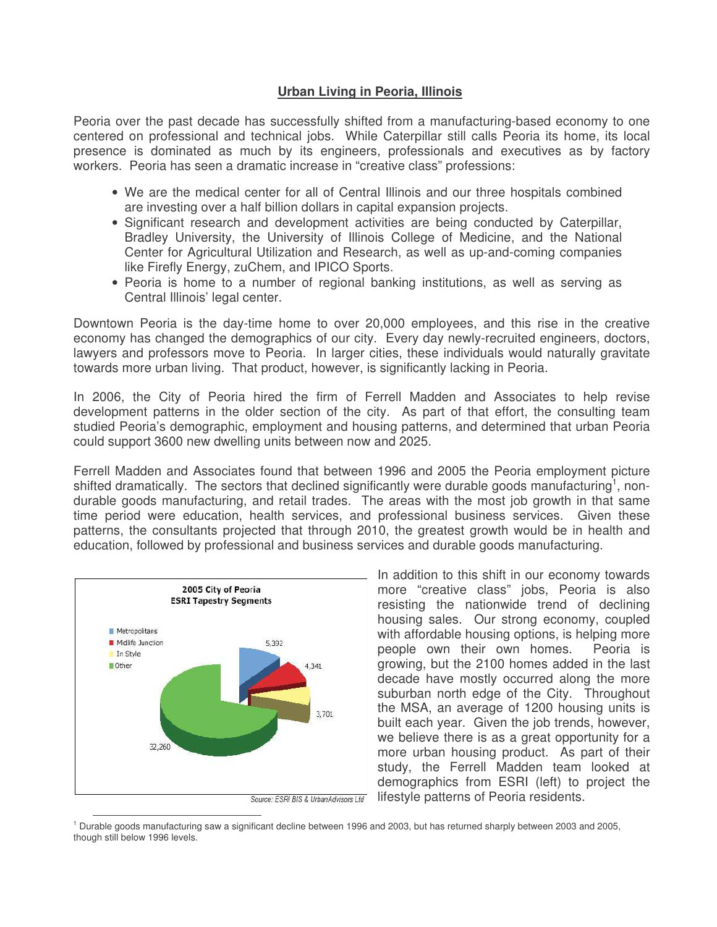## **Urban Living in Peoria, Illinois**

Peoria over the past decade has successfully shifted from a manufacturing-based economy to one centered on professional and technical jobs. While Caterpillar still calls Peoria its home, its local presence is dominated as much by its engineers, professionals and executives as by factory workers. Peoria has seen a dramatic increase in "creative class" professions:

- We are the medical center for all of Central Illinois and our three hospitals combined are investing over a half billion dollars in capital expansion projects.
- Significant research and development activities are being conducted by Caterpillar, Bradley University, the University of Illinois College of Medicine, and the National Center for Agricultural Utilization and Research, as well as up-and-coming companies like Firefly Energy, zuChem, and IPICO Sports.
- Peoria is home to a number of regional banking institutions, as well as serving as Central Illinois' legal center.

Downtown Peoria is the day-time home to over 20,000 employees, and this rise in the creative economy has changed the demographics of our city. Every day newly-recruited engineers, doctors, lawyers and professors move to Peoria. In larger cities, these individuals would naturally gravitate towards more urban living. That product, however, is significantly lacking in Peoria.

In 2006, the City of Peoria hired the firm of Ferrell Madden and Associates to help revise development patterns in the older section of the city. As part of that effort, the consulting team studied Peoria's demographic, employment and housing patterns, and determined that urban Peoria could support 3600 new dwelling units between now and 2025.

Ferrell Madden and Associates found that between 1996 and 2005 the Peoria employment picture shifted dramatically. The sectors that declined significantly were durable goods manufacturing<sup>1</sup>, nondurable goods manufacturing, and retail trades. The areas with the most job growth in that same time period were education, health services, and professional business services. Given these patterns, the consultants projected that through 2010, the greatest growth would be in health and education, followed by professional and business services and durable goods manufacturing.



In addition to this shift in our economy towards more "creative class" jobs, Peoria is also resisting the nationwide trend of declining housing sales. Our strong economy, coupled with affordable housing options, is helping more people own their own homes. Peoria is growing, but the 2100 homes added in the last decade have mostly occurred along the more suburban north edge of the City. Throughout the MSA, an average of 1200 housing units is built each year. Given the job trends, however, we believe there is as a great opportunity for a more urban housing product. As part of their study, the Ferrell Madden team looked at demographics from ESRI (left) to project the lifestyle patterns of Peoria residents.

 $^1$  Durable goods manufacturing saw a significant decline between 1996 and 2003, but has returned sharply between 2003 and 2005, though still below 1996 levels.